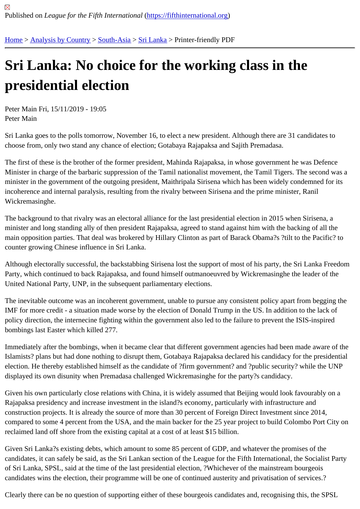## [Sri](https://fifthinternational.org/) [Lanka: No](https://fifthinternational.org/category/1) [choic](https://fifthinternational.org/category/1/200)[e for t](https://fifthinternational.org/category/1/200/208)he working class in the presidential election

Peter Main Fri, 15/11/2019 - 19:05 Peter Main

Sri Lanka goes to the polls tomorrow, November 16, to elect a new president. Although there are 31 candidates to choose from, only two stand any chance of election; Gotabaya Rajapaksa and Sajith Premadasa.

The first of these is the brother of the former president, Mahinda Rajapaksa, in whose government he was Defence Minister in charge of the barbaric suppression of the Tamil nationalist movement, the Tamil Tigers. The second wa minister in the government of the outgoing president, Maithripala Sirisena which has been widely condemned for it incoherence and internal paralysis, resulting from the rivalry between Sirisena and the prime minister, Ranil Wickremasinghe.

The background to that rivalry was an electoral alliance for the last presidential election in 2015 when Sirisena, a minister and long standing ally of then president Rajapaksa, agreed to stand against him with the backing of all the main opposition parties. That deal was brokered by Hillary Clinton as part of Barack Obama?s ?tilt to the Pacific? t counter growing Chinese influence in Sri Lanka.

Although electorally successful, the backstabbing Sirisena lost the support of most of his party, the Sri Lanka Free Party, which continued to back Rajapaksa, and found himself outmanoeuvred by Wickremasinghe the leader of the United National Party, UNP, in the subsequent parliamentary elections.

The inevitable outcome was an incoherent government, unable to pursue any consistent policy apart from begging IMF for more credit - a situation made worse by the election of Donald Trump in the US. In addition to the lack of policy direction, the internecine fighting within the government also led to the failure to prevent the ISIS-inspired bombings last Easter which killed 277.

Immediately after the bombings, when it became clear that different government agencies had been made aware of Islamists? plans but had done nothing to disrupt them, Gotabaya Rajapaksa declared his candidacy for the preside election. He thereby established himself as the candidate of ?firm government? and ?public security? while the UN displayed its own disunity when Premadasa challenged Wickremasinghe for the party?s candidacy.

Given his own particularly close relations with China, it is widely assumed that Beijing would look favourably on a Rajapaksa presidency and increase investment in the island?s economy, particularly with infrastructure and construction projects. It is already the source of more than 30 percent of Foreign Direct Investment since 2014, compared to some 4 percent from the USA, and the main backer for the 25 year project to build Colombo Port City reclaimed land off shore from the existing capital at a cost of at least \$15 billion.

Given Sri Lanka?s existing debts, which amount to some 85 percent of GDP, and whatever the promises of the candidates, it can safely be said, as the Sri Lankan section of the League for the Fifth International, the Socialist P of Sri Lanka, SPSL, said at the time of the last presidential election, ?Whichever of the mainstream bourgeois candidates wins the election, their programme will be one of continued austerity and privatisation of services.?

Clearly there can be no question of supporting either of these bourgeois candidates and, recognising this, the SPS